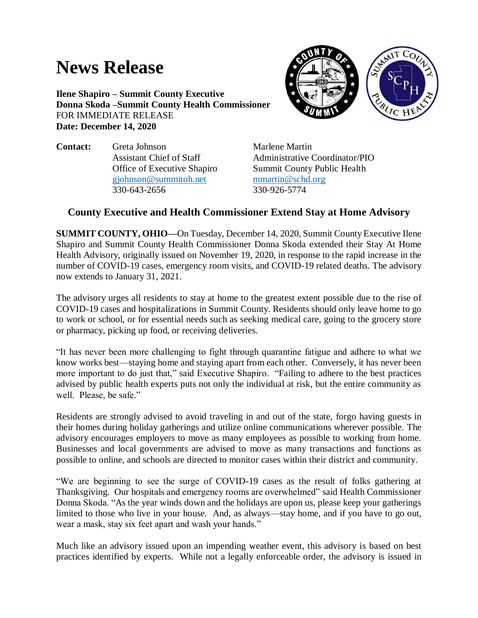## **News Release**

**Ilene Shapiro – Summit County Executive Donna Skoda –Summit County Health Commissioner** FOR IMMEDIATE RELEASE **Date: December 14, 2020**



**Contact:** Greta Johnson Marlene Martin [gjohnson@summitoh.net](mailto:gjohnson@summitoh.net) [mmartin@schd.org](mailto:mmartin@schd.org) 330-643-2656 330-926-5774

Assistant Chief of Staff Administrative Coordinator/PIO Office of Executive Shapiro Summit County Public Health

## **County Executive and Health Commissioner Extend Stay at Home Advisory**

**SUMMIT COUNTY, OHIO—**On Tuesday, December 14, 2020, Summit County Executive Ilene Shapiro and Summit County Health Commissioner Donna Skoda extended their Stay At Home Health Advisory, originally issued on November 19, 2020, in response to the rapid increase in the number of COVID-19 cases, emergency room visits, and COVID-19 related deaths. The advisory now extends to January 31, 2021.

The advisory urges all residents to stay at home to the greatest extent possible due to the rise of COVID-19 cases and hospitalizations in Summit County. Residents should only leave home to go to work or school, or for essential needs such as seeking medical care, going to the grocery store or pharmacy, picking up food, or receiving deliveries.

"It has never been more challenging to fight through quarantine fatigue and adhere to what we know works best—staying home and staying apart from each other. Conversely, it has never been more important to do just that," said Executive Shapiro. "Failing to adhere to the best practices advised by public health experts puts not only the individual at risk, but the entire community as well. Please, be safe."

Residents are strongly advised to avoid traveling in and out of the state, forgo having guests in their homes during holiday gatherings and utilize online communications wherever possible. The advisory encourages employers to move as many employees as possible to working from home. Businesses and local governments are advised to move as many transactions and functions as possible to online, and schools are directed to monitor cases within their district and community.

"We are beginning to see the surge of COVID-19 cases as the result of folks gathering at Thanksgiving. Our hospitals and emergency rooms are overwhelmed" said Health Commissioner Donna Skoda. "As the year winds down and the holidays are upon us, please keep your gatherings limited to those who live in your house. And, as always—stay home, and if you have to go out, wear a mask, stay six feet apart and wash your hands."

Much like an advisory issued upon an impending weather event, this advisory is based on best practices identified by experts. While not a legally enforceable order, the advisory is issued in